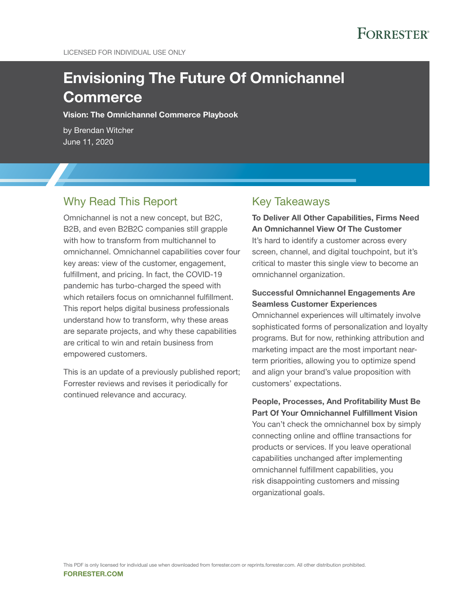# **FORRESTER®**

# Envisioning The Future Of Omnichannel **Commerce**

Vision: The Omnichannel Commerce Playbook

by Brendan Witcher June 11, 2020

## Why Read This Report

Omnichannel is not a new concept, but B2C, B2B, and even B2B2C companies still grapple with how to transform from multichannel to omnichannel. Omnichannel capabilities cover four key areas: view of the customer, engagement, fulfillment, and pricing. In fact, the COVID-19 pandemic has turbo-charged the speed with which retailers focus on omnichannel fulfillment. This report helps digital business professionals understand how to transform, why these areas are separate projects, and why these capabilities are critical to win and retain business from empowered customers.

This is an update of a previously published report; Forrester reviews and revises it periodically for continued relevance and accuracy.

### Key Takeaways

To Deliver All Other Capabilities, Firms Need An Omnichannel View Of The Customer It's hard to identify a customer across every screen, channel, and digital touchpoint, but it's critical to master this single view to become an omnichannel organization.

### Successful Omnichannel Engagements Are Seamless Customer Experiences

Omnichannel experiences will ultimately involve sophisticated forms of personalization and loyalty programs. But for now, rethinking attribution and marketing impact are the most important nearterm priorities, allowing you to optimize spend and align your brand's value proposition with customers' expectations.

People, Processes, And Profitability Must Be Part Of Your Omnichannel Fulfillment Vision You can't check the omnichannel box by simply connecting online and offline transactions for products or services. If you leave operational capabilities unchanged after implementing omnichannel fulfillment capabilities, you risk disappointing customers and missing organizational goals.

FORRESTER.COM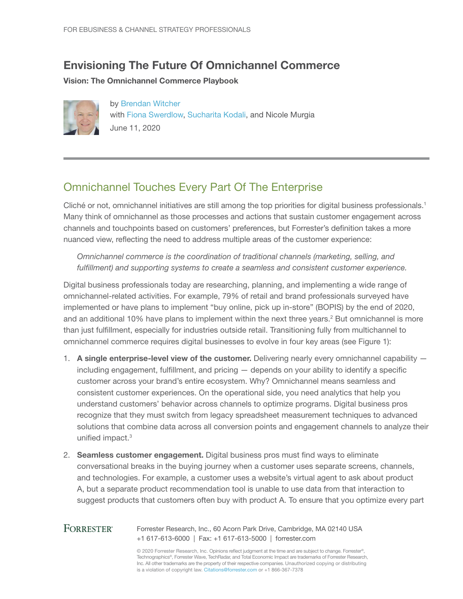# Envisioning The Future Of Omnichannel Commerce

Vision: The Omnichannel Commerce Playbook



by [Brendan Witcher](http://www.forrester.com/go?objectid=BIO7744) with [Fiona Swerdlow](http://www.forrester.com/go?objectid=BIO10344), [Sucharita Kodali](http://www.forrester.com/go?objectid=BIO1129), and Nicole Murgia June 11, 2020

# Omnichannel Touches Every Part Of The Enterprise

Cliché or not, omnichannel initiatives are still among the top priorities for digital business professionals.<sup>1</sup> Many think of omnichannel as those processes and actions that sustain customer engagement across channels and touchpoints based on customers' preferences, but Forrester's definition takes a more nuanced view, reflecting the need to address multiple areas of the customer experience:

*Omnichannel commerce is the coordination of traditional channels (marketing, selling, and fulfillment) and supporting systems to create a seamless and consistent customer experience.*

Digital business professionals today are researching, planning, and implementing a wide range of omnichannel-related activities. For example, 79% of retail and brand professionals surveyed have implemented or have plans to implement "buy online, pick up in-store" (BOPIS) by the end of 2020, and an additional 10% have plans to implement within the next three years.<sup>2</sup> But omnichannel is more than just fulfillment, especially for industries outside retail. Transitioning fully from multichannel to omnichannel commerce requires digital businesses to evolve in four key areas (see Figure 1):

- 1. A single enterprise-level view of the customer. Delivering nearly every omnichannel capability including engagement, fulfillment, and pricing — depends on your ability to identify a specific customer across your brand's entire ecosystem. Why? Omnichannel means seamless and consistent customer experiences. On the operational side, you need analytics that help you understand customers' behavior across channels to optimize programs. Digital business pros recognize that they must switch from legacy spreadsheet measurement techniques to advanced solutions that combine data across all conversion points and engagement channels to analyze their unified impact.<sup>3</sup>
- 2. Seamless customer engagement. Digital business pros must find ways to eliminate conversational breaks in the buying journey when a customer uses separate screens, channels, and technologies. For example, a customer uses a website's virtual agent to ask about product A, but a separate product recommendation tool is unable to use data from that interaction to suggest products that customers often buy with product A. To ensure that you optimize every part

#### **FORRESTER®** Forrester Research, Inc., 60 Acorn Park Drive, Cambridge, MA 02140 USA +1 617-613-6000 | Fax: +1 617-613-5000 | forrester.com

© 2020 Forrester Research, Inc. Opinions reflect judgment at the time and are subject to change. Forrester®, Technographics®, Forrester Wave, TechRadar, and Total Economic Impact are trademarks of Forrester Research, Inc. All other trademarks are the property of their respective companies. Unauthorized copying or distributing is a violation of copyright law. Citations@forrester.com or +1 866-367-7378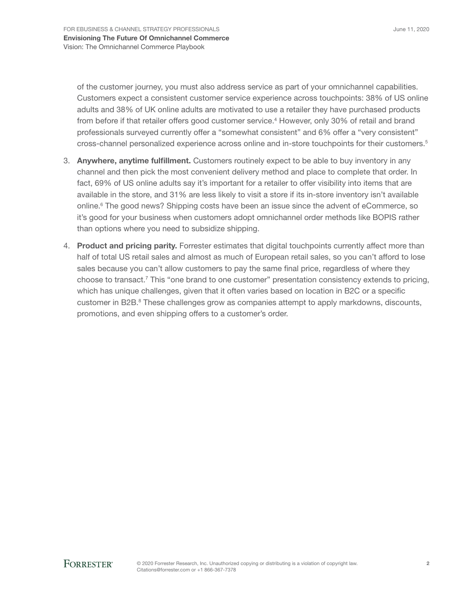of the customer journey, you must also address service as part of your omnichannel capabilities. Customers expect a consistent customer service experience across touchpoints: 38% of US online adults and 38% of UK online adults are motivated to use a retailer they have purchased products from before if that retailer offers good customer service.<sup>4</sup> However, only 30% of retail and brand professionals surveyed currently offer a "somewhat consistent" and 6% offer a "very consistent" cross-channel personalized experience across online and in-store touchpoints for their customers.<sup>5</sup>

- 3. Anywhere, anytime fulfillment. Customers routinely expect to be able to buy inventory in any channel and then pick the most convenient delivery method and place to complete that order. In fact, 69% of US online adults say it's important for a retailer to offer visibility into items that are available in the store, and 31% are less likely to visit a store if its in-store inventory isn't available online.<sup>6</sup> The good news? Shipping costs have been an issue since the advent of eCommerce, so it's good for your business when customers adopt omnichannel order methods like BOPIS rather than options where you need to subsidize shipping.
- 4. Product and pricing parity. Forrester estimates that digital touchpoints currently affect more than half of total US retail sales and almost as much of European retail sales, so you can't afford to lose sales because you can't allow customers to pay the same final price, regardless of where they choose to transact.<sup>7</sup> This "one brand to one customer" presentation consistency extends to pricing, which has unique challenges, given that it often varies based on location in B2C or a specific customer in B2B.<sup>8</sup> These challenges grow as companies attempt to apply markdowns, discounts, promotions, and even shipping offers to a customer's order.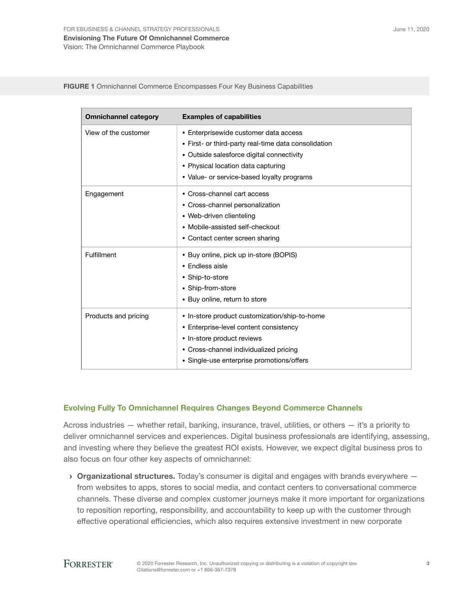FIGURE 1 Omnichannel Commerce Encompasses Four Key Business Capabilities

| <b>Omnichannel category</b> | <b>Examples of capabilities</b>                                                                                                                                                                                                |
|-----------------------------|--------------------------------------------------------------------------------------------------------------------------------------------------------------------------------------------------------------------------------|
| View of the customer        | • Enterprisewide customer data access<br>• First- or third-party real-time data consolidation<br>• Outside salesforce digital connectivity<br>• Physical location data capturing<br>• Value- or service-based loyalty programs |
| Engagement                  | • Cross-channel cart access<br>• Cross-channel personalization<br>• Web-driven clienteling<br>• Mobile-assisted self-checkout<br>• Contact center screen sharing                                                               |
| Fulfillment                 | • Buy online, pick up in-store (BOPIS)<br>$\bullet$ Fndless aisle<br>• Ship-to-store<br>• Ship-from-store<br>• Buy online, return to store                                                                                     |
| Products and pricing        | • In-store product customization/ship-to-home<br>• Enterprise-level content consistency<br>• In-store product reviews<br>• Cross-channel individualized pricing<br>• Single-use enterprise promotions/offers                   |

### Evolving Fully To Omnichannel Requires Changes Beyond Commerce Channels

Across industries — whether retail, banking, insurance, travel, utilities, or others — it's a priority to deliver omnichannel services and experiences. Digital business professionals are identifying, assessing, and investing where they believe the greatest ROI exists. However, we expect digital business pros to also focus on four other key aspects of omnichannel:

 $\rightarrow$  Organizational structures. Today's consumer is digital and engages with brands everywhere  $$ from websites to apps, stores to social media, and contact centers to conversational commerce channels. These diverse and complex customer journeys make it more important for organizations to reposition reporting, responsibility, and accountability to keep up with the customer through effective operational efficiencies, which also requires extensive investment in new corporate

### **FORRESTER®**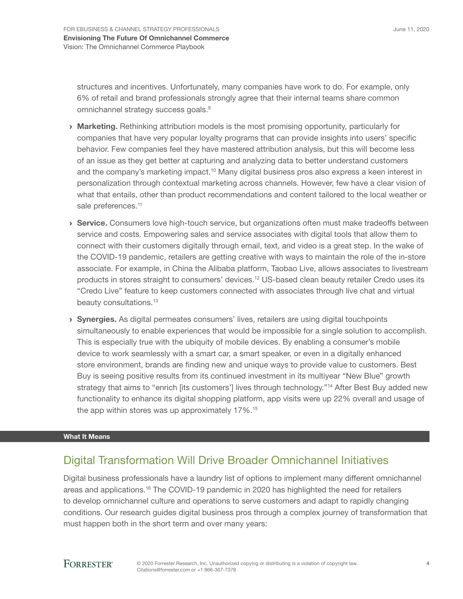structures and incentives. Unfortunately, many companies have work to do. For example, only 6% of retail and brand professionals strongly agree that their internal teams share common omnichannel strategy success goals.<sup>9</sup>

- **Marketing.** Rethinking attribution models is the most promising opportunity, particularly for companies that have very popular loyalty programs that can provide insights into users' specific behavior. Few companies feel they have mastered attribution analysis, but this will become less of an issue as they get better at capturing and analyzing data to better understand customers and the company's marketing impact.<sup>10</sup> Many digital business pros also express a keen interest in personalization through contextual marketing across channels. However, few have a clear vision of what that entails, other than product recommendations and content tailored to the local weather or sale preferences.<sup>11</sup>
- › Service. Consumers love high-touch service, but organizations often must make tradeoffs between service and costs. Empowering sales and service associates with digital tools that allow them to connect with their customers digitally through email, text, and video is a great step. In the wake of the COVID-19 pandemic, retailers are getting creative with ways to maintain the role of the in-store associate. For example, in China the Alibaba platform, Taobao Live, allows associates to livestream products in stores straight to consumers' devices.12 US-based clean beauty retailer Credo uses its "Credo Live" feature to keep customers connected with associates through live chat and virtual beauty consultations.<sup>13</sup>
- › Synergies. As digital permeates consumers' lives, retailers are using digital touchpoints simultaneously to enable experiences that would be impossible for a single solution to accomplish. This is especially true with the ubiquity of mobile devices. By enabling a consumer's mobile device to work seamlessly with a smart car, a smart speaker, or even in a digitally enhanced store environment, brands are finding new and unique ways to provide value to customers. Best Buy is seeing positive results from its continued investment in its multiyear "New Blue" growth strategy that aims to "enrich [its customers'] lives through technology."<sup>14</sup> After Best Buy added new functionality to enhance its digital shopping platform, app visits were up 22% overall and usage of the app within stores was up approximately 17%.<sup>15</sup>

### What It Means

## Digital Transformation Will Drive Broader Omnichannel Initiatives

Digital business professionals have a laundry list of options to implement many different omnichannel areas and applications.<sup>16</sup> The COVID-19 pandemic in 2020 has highlighted the need for retailers to develop omnichannel culture and operations to serve customers and adapt to rapidly changing conditions. Our research guides digital business pros through a complex journey of transformation that must happen both in the short term and over many years:

### **FORRESTER®**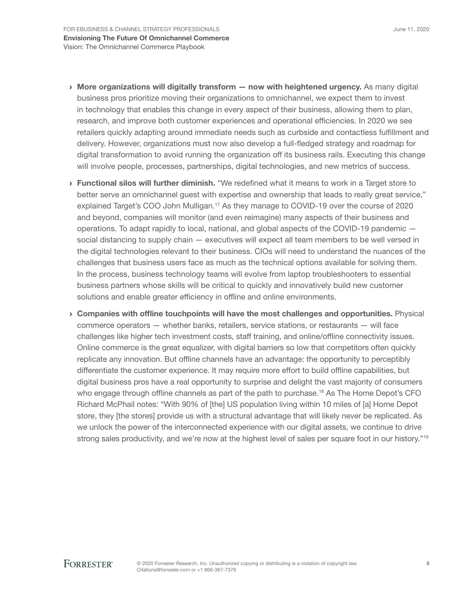- $\rightarrow$  More organizations will digitally transform  $-$  now with heightened urgency. As many digital business pros prioritize moving their organizations to omnichannel, we expect them to invest in technology that enables this change in every aspect of their business, allowing them to plan, research, and improve both customer experiences and operational efficiencies. In 2020 we see retailers quickly adapting around immediate needs such as curbside and contactless fulfillment and delivery. However, organizations must now also develop a full-fledged strategy and roadmap for digital transformation to avoid running the organization off its business rails. Executing this change will involve people, processes, partnerships, digital technologies, and new metrics of success.
- › Functional silos will further diminish. "We redefined what it means to work in a Target store to better serve an omnichannel guest with expertise and ownership that leads to really great service," explained Target's COO John Mulligan.<sup>17</sup> As they manage to COVID-19 over the course of 2020 and beyond, companies will monitor (and even reimagine) many aspects of their business and operations. To adapt rapidly to local, national, and global aspects of the COVID-19 pandemic social distancing to supply chain — executives will expect all team members to be well versed in the digital technologies relevant to their business. CIOs will need to understand the nuances of the challenges that business users face as much as the technical options available for solving them. In the process, business technology teams will evolve from laptop troubleshooters to essential business partners whose skills will be critical to quickly and innovatively build new customer solutions and enable greater efficiency in offline and online environments.
- › Companies with offline touchpoints will have the most challenges and opportunities. Physical commerce operators — whether banks, retailers, service stations, or restaurants — will face challenges like higher tech investment costs, staff training, and online/offline connectivity issues. Online commerce is the great equalizer, with digital barriers so low that competitors often quickly replicate any innovation. But offline channels have an advantage: the opportunity to perceptibly differentiate the customer experience. It may require more effort to build offline capabilities, but digital business pros have a real opportunity to surprise and delight the vast majority of consumers who engage through offline channels as part of the path to purchase.<sup>18</sup> As The Home Depot's CFO Richard McPhail notes: "With 90% of [the] US population living within 10 miles of [a] Home Depot store, they [the stores] provide us with a structural advantage that will likely never be replicated. As we unlock the power of the interconnected experience with our digital assets, we continue to drive strong sales productivity, and we're now at the highest level of sales per square foot in our history."<sup>19</sup>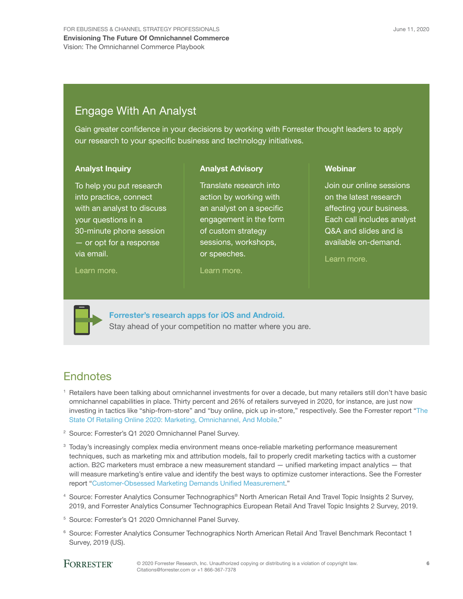## Engage With An Analyst

Gain greater confidence in your decisions by working with Forrester thought leaders to apply our research to your specific business and technology initiatives.

> Translate research into action by working with an analyst on a specific engagement in the form of custom strategy sessions, workshops,

Analyst Advisory

#### Analyst Inquiry

To help you put research into practice, connect with an analyst to discuss your questions in a 30-minute phone session — or opt for a response via email.

#### [Learn more.](http://forr.com/1einFan)

or speeches.

### [Learn more.](http://www.forrester.com/Analyst-Advisory/-/E-MPL172)

**Webinar** 

Join our online sessions on the latest research affecting your business. Each call includes analyst Q&A and slides and is available on-demand.

[Learn more](https://www.forrester.com/events?N=10006+5025).



[Forrester's research apps for iOS and Android.](http://www.forrester.com/app) Stay ahead of your competition no matter where you are.

### **Endnotes**

- <sup>1</sup> Retailers have been talking about omnichannel investments for over a decade, but many retailers still don't have basic omnichannel capabilities in place. Thirty percent and 26% of retailers surveyed in 2020, for instance, are just now investing in tactics like "ship-from-store" and "buy online, pick up in-store," respectively. See the Forrester report "[The](http://www.forrester.com/go?objectid=RES159659)  [State Of Retailing Online 2020: Marketing, Omnichannel, And Mobile.](http://www.forrester.com/go?objectid=RES159659)"
- <sup>2</sup> Source: Forrester's Q1 2020 Omnichannel Panel Survey.
- <sup>3</sup> Today's increasingly complex media environment means once-reliable marketing performance measurement techniques, such as marketing mix and attribution models, fail to properly credit marketing tactics with a customer action. B2C marketers must embrace a new measurement standard — unified marketing impact analytics — that will measure marketing's entire value and identify the best ways to optimize customer interactions. See the Forrester report "[Customer-Obsessed Marketing Demands Unified Measurement](http://www.forrester.com/go?objectid=RES115182)."
- <sup>4</sup> Source: Forrester Analytics Consumer Technographics® North American Retail And Travel Topic Insights 2 Survey, 2019, and Forrester Analytics Consumer Technographics European Retail And Travel Topic Insights 2 Survey, 2019.
- <sup>5</sup> Source: Forrester's Q1 2020 Omnichannel Panel Survey.
- <sup>6</sup> Source: Forrester Analytics Consumer Technographics North American Retail And Travel Benchmark Recontact 1 Survey, 2019 (US).

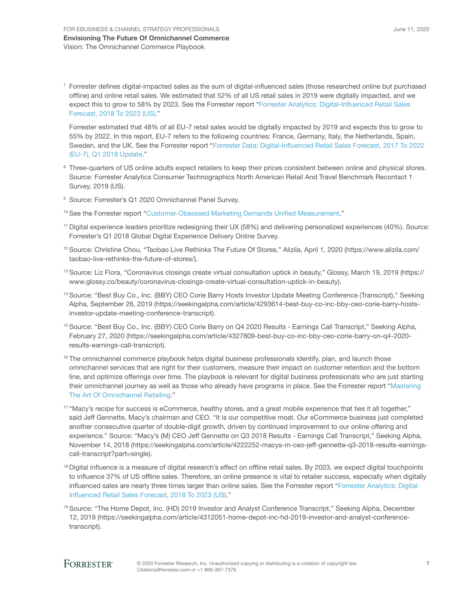$7$  Forrester defines digital-impacted sales as the sum of digital-influenced sales (those researched online but purchased offline) and online retail sales. We estimated that 52% of all US retail sales in 2019 were digitally impacted, and we expect this to grow to 58% by 2023. See the Forrester report "[Forrester Analytics: Digital-Influenced Retail Sales](http://www.forrester.com/go?objectid=RES145455)  [Forecast, 2018 To 2023 \(US\)](http://www.forrester.com/go?objectid=RES145455)."

Forrester estimated that 48% of all EU-7 retail sales would be digitally impacted by 2019 and expects this to grow to 55% by 2022. In this report, EU-7 refers to the following countries: France, Germany, Italy, the Netherlands, Spain, Sweden, and the UK. See the Forrester report "[Forrester Data: Digital-Influenced Retail Sales Forecast, 2017 To 2022](http://www.forrester.com/go?objectid=RES143251)  [\(EU-7\), Q1 2018 Update](http://www.forrester.com/go?objectid=RES143251)."

- <sup>8</sup> Three-quarters of US online adults expect retailers to keep their prices consistent between online and physical stores. Source: Forrester Analytics Consumer Technographics North American Retail And Travel Benchmark Recontact 1 Survey, 2019 (US).
- <sup>9</sup> Source: Forrester's Q1 2020 Omnichannel Panel Survey.
- <sup>10</sup> See the Forrester report "[Customer-Obsessed Marketing Demands Unified Measurement.](http://www.forrester.com/go?objectid=RES115182)"
- <sup>11</sup> Digital experience leaders prioritize redesigning their UX (58%) and delivering personalized experiences (40%). Source: Forrester's Q1 2018 Global Digital Experience Delivery Online Survey.
- <sup>12</sup> Source: Christine Chou, "Taobao Live Rethinks The Future Of Stores," Alizila, April 1, 2020 (https://www.alizila.com/ taobao-live-rethinks-the-future-of-stores/).
- <sup>13</sup> Source: Liz Flora, "Coronavirus closings create virtual consultation uptick in beauty," Glossy, March 19, 2019 (https:// www.glossy.co/beauty/coronavirus-closings-create-virtual-consultation-uptick-in-beauty).
- <sup>14</sup> Source: "Best Buy Co., Inc. (BBY) CEO Corie Barry Hosts Investor Update Meeting Conference (Transcript)," Seeking Alpha, September 26, 2019 (https://seekingalpha.com/article/4293614-best-buy-co-inc-bby-ceo-corie-barry-hostsinvestor-update-meeting-conference-transcript).
- <sup>15</sup> Source: "Best Buy Co., Inc. (BBY) CEO Corie Barry on Q4 2020 Results Earnings Call Transcript," Seeking Alpha, February 27, 2020 (https://seekingalpha.com/article/4327809-best-buy-co-inc-bby-ceo-corie-barry-on-q4-2020 results-earnings-call-transcript).
- <sup>16</sup> The omnichannel commerce playbook helps digital business professionals identify, plan, and launch those omnichannel services that are right for their customers, measure their impact on customer retention and the bottom line, and optimize offerings over time. The playbook is relevant for digital business professionals who are just starting their omnichannel journey as well as those who already have programs in place. See the Forrester report "[Mastering](http://www.forrester.com/go?objectid=RES129320)  [The Art Of Omnichannel Retailing.](http://www.forrester.com/go?objectid=RES129320)"
- <sup>17</sup> "Macy's recipe for success is eCommerce, healthy stores, and a great mobile experience that ties it all together," said Jeff Gennette, Macy's chairman and CEO. "It is our competitive moat. Our eCommerce business just completed another consecutive quarter of double-digit growth, driven by continued improvement to our online offering and experience." Source: "Macy's (M) CEO Jeff Gennette on Q3 2018 Results - Earnings Call Transcript," Seeking Alpha, November 14, 2018 (https://seekingalpha.com/article/4222252-macys-m-ceo-jeff-gennette-q3-2018-results-earningscall-transcript?part=single).
- <sup>18</sup> Digital influence is a measure of digital research's effect on offline retail sales. By 2023, we expect digital touchpoints to influence 37% of US offline sales. Therefore, an online presence is vital to retailer success, especially when digitally influenced sales are nearly three times larger than online sales. See the Forrester report ["Forrester Analytics: Digital-](http://www.forrester.com/go?objectid=RES145455)[Influenced Retail Sales Forecast, 2018 To 2023 \(US\)](http://www.forrester.com/go?objectid=RES145455)."
- <sup>19</sup> Source: "The Home Depot, Inc. (HD) 2019 Investor and Analyst Conference Transcript," Seeking Alpha, December 12, 2019 (https://seekingalpha.com/article/4312051-home-depot-inc-hd-2019-investor-and-analyst-conferencetranscript).